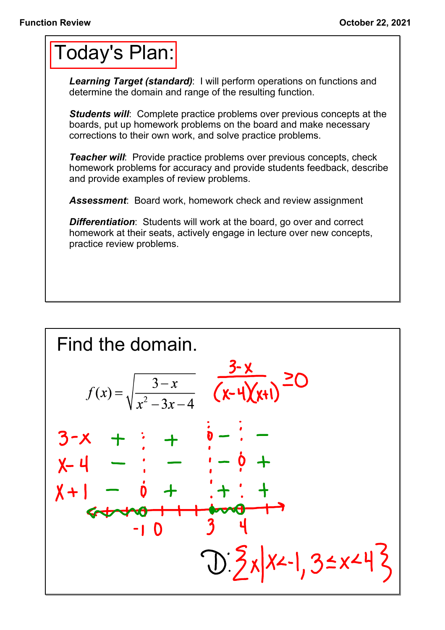## Today's Plan:

*Learning Target (standard)*: I will perform operations on functions and determine the domain and range of the resulting function.

*Students will*: Complete practice problems over previous concepts at the boards, put up homework problems on the board and make necessary corrections to their own work, and solve practice problems.

*Teacher will:* Provide practice problems over previous concepts, check homework problems for accuracy and provide students feedback, describe and provide examples of review problems.

*Assessment*: Board work, homework check and review assignment

*Differentiation*: Students will work at the board, go over and correct homework at their seats, actively engage in lecture over new concepts, practice review problems.

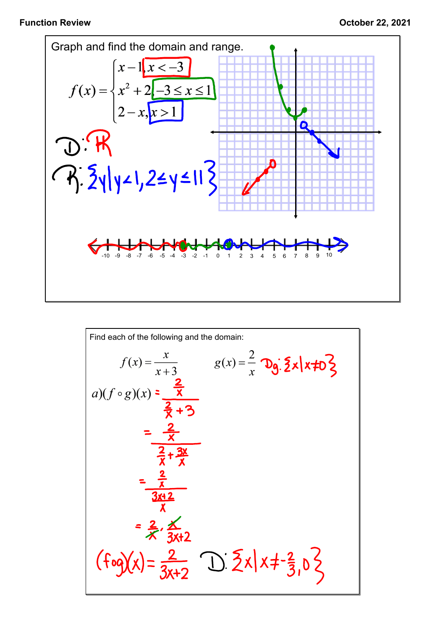

Find each of the following and the domain:  
\n
$$
f(x) = \frac{x}{x+3} \qquad g(x) = \frac{2}{x} \text{ Dg.} \frac{5}{2} \times |x \neq 0 \frac{3}{2}
$$
\n
$$
g(x) = \frac{2}{x} \text{ Dg.} \frac{5}{2} \times |x \neq 0 \frac{3}{2}
$$
\n
$$
= \frac{2}{x} \text{ Dg.} \frac{5}{2} \times |x \neq 0 \frac{3}{2}
$$
\n
$$
= \frac{2}{x} \text{ Dg.} \frac{5}{2} \times |x \neq 0 \frac{3}{2}
$$
\n
$$
= \frac{2}{x} \text{ Dg.} \frac{5}{2} \times |x \neq 0 \frac{3}{2} \text{ D.} \frac{5}{2} \times |x \neq 0 \frac{3}{2} \text{ D.} \frac{5}{2} \times |x \neq 0 \frac{3}{2} \text{ D.} \frac{5}{2} \times |x \neq 0 \frac{3}{2} \text{ D.} \frac{5}{2} \times |x \neq 0 \frac{3}{2} \text{ D.} \frac{5}{2} \times |x \neq 0 \frac{3}{2} \text{ D.} \frac{5}{2} \times |x \neq 0 \frac{3}{2} \text{ D.} \frac{5}{2} \times |x \neq 0 \frac{3}{2} \text{ D.} \frac{5}{2} \times |x \neq 0 \frac{3}{2} \text{ D.} \frac{5}{2} \times |x \neq 0 \frac{3}{2} \text{ D.} \frac{5}{2} \times |x \neq 0 \frac{3}{2} \text{ D.} \frac{5}{2} \times |x \neq 0 \frac{3}{2} \text{ D.} \frac{5}{2} \times |x \neq 0 \frac{3}{2} \text{ D.} \frac{5}{2} \times |x \neq 0 \frac{3}{2} \text{ D.} \frac{5}{2} \times |x \neq 0 \frac{3}{2} \text{ D.} \frac{5}{2} \times |x \neq 0 \frac{3}{2} \text{ D.} \frac{5}{2} \times |x \neq 0 \frac{3}{2} \text{ D.} \frac{5}{2} \times |x \neq 0 \frac{3}{2} \text{ D.} \
$$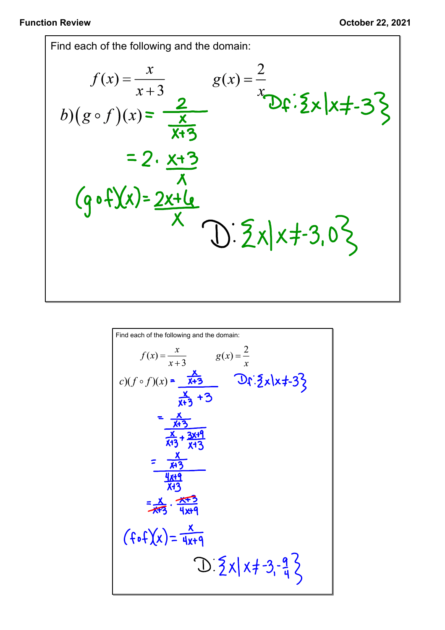Find each of the following and the domain:  $f(x) = \frac{x}{x+3}$   $g(x) = \frac{2}{x}$   $g(x) = \frac{2}{x}$   $\sum \frac{x}{\sum x} |x+3|$  $y(g \circ f)(x) = \frac{x}{x+3}$ <br>= 2.  $\frac{x+3}{x}$ <br>(g o f)(x) =  $\frac{2x+1}{x}$ <br>(g o f)(x) =  $\frac{2x+1}{x}$ <br>(j)  $\frac{2}{x}$  x)  $\frac{2}{x}$  + 3, 0  $\frac{2}{x}$ 

Find each of the following and the domain:  
\n
$$
f(x) = \frac{x}{x+3} \qquad g(x) = \frac{2}{x}
$$
\n
$$
c)(f \circ f)(x) = \frac{x}{x+3} \qquad \text{or } \frac{x}{x+3} + 3
$$
\n
$$
= \frac{x}{x+3}
$$
\n
$$
= \frac{x}{x+3}
$$
\n
$$
\frac{x}{x+3} + \frac{3x+9}{x+3}
$$
\n
$$
= \frac{x}{x+3}
$$
\n
$$
\frac{4x+9}{x+3}
$$
\n
$$
= \frac{x}{x+3}
$$
\n
$$
\frac{4x+9}{x+3}
$$
\n
$$
= \frac{x}{x+3} \cdot \frac{x+3}{x+3}
$$
\n
$$
= \frac{x}{x+3} \cdot \frac{x+3}{x+3}
$$
\n
$$
= \frac{x}{x+3} \cdot \frac{x+3}{x+3}
$$
\n
$$
= \frac{x}{x+3} \cdot \frac{x+3}{x+3}
$$
\n
$$
= \frac{x}{x+3} \cdot \frac{x+3}{x+3}
$$
\n
$$
= \frac{x}{x+3} \cdot \frac{x+3}{x+3}
$$
\n
$$
= \frac{x}{x+3} \cdot \frac{x+3}{x+3}
$$
\n
$$
= \frac{x}{x+3} \cdot \frac{x+3}{x+3}
$$
\n
$$
= \frac{x}{x+3} \cdot \frac{x+3}{x+3}
$$
\n
$$
= \frac{x}{x+3} \cdot \frac{x}{x+3}
$$
\n
$$
= \frac{x}{x+3} \cdot \frac{x}{x+3}
$$
\n
$$
= \frac{x}{x+3} \cdot \frac{x}{x+3}
$$
\n
$$
= \frac{x}{x+3} \cdot \frac{x}{x+3}
$$
\n
$$
= \frac{x}{x+3} \cdot \frac{x}{x+3}
$$
\n
$$
= \frac{x}{x+3} \cdot \frac{x}{x+3}
$$
\n
$$
= \frac{x}{x+3} \cdot \frac{x}{x+3}
$$
\n
$$
= \frac{x}{x+3} \cdot \frac{x}{x+3}
$$
\n
$$
= \frac{x}{x+3} \cdot \frac{x}{x+3}
$$
\n
$$
= \
$$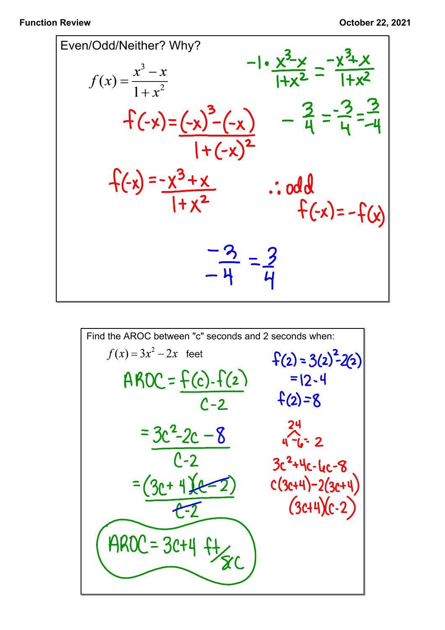

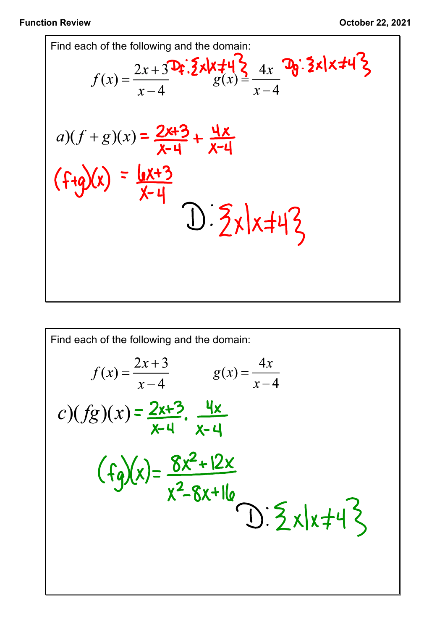## **Function Review October 22, 2021**

Find each of the following and the domain:  
\n
$$
f(x) = \frac{2x + 3}{x - 4} \mathbf{F} \cdot \mathbf{F} \cdot \mathbf{F} \cdot \mathbf{F} \cdot \mathbf{F} \cdot \mathbf{F} \cdot \mathbf{F} \cdot \mathbf{F} \cdot \mathbf{F} \cdot \mathbf{F} \cdot \mathbf{F} \cdot \mathbf{F} \cdot \mathbf{F} \cdot \mathbf{F} \cdot \mathbf{F} \cdot \mathbf{F} \cdot \mathbf{F} \cdot \mathbf{F} \cdot \mathbf{F} \cdot \mathbf{F} \cdot \mathbf{F} \cdot \mathbf{F} \cdot \mathbf{F} \cdot \mathbf{F} \cdot \mathbf{F} \cdot \mathbf{F} \cdot \mathbf{F} \cdot \mathbf{F} \cdot \mathbf{F} \cdot \mathbf{F} \cdot \mathbf{F} \cdot \mathbf{F} \cdot \mathbf{F} \cdot \mathbf{F} \cdot \mathbf{F} \cdot \mathbf{F} \cdot \mathbf{F} \cdot \mathbf{F} \cdot \mathbf{F} \cdot \mathbf{F} \cdot \mathbf{F} \cdot \mathbf{F} \cdot \mathbf{F} \cdot \mathbf{F} \cdot \mathbf{F} \cdot \mathbf{F} \cdot \mathbf{F} \cdot \mathbf{F} \cdot \mathbf{F} \cdot \mathbf{F} \cdot \mathbf{F} \cdot \mathbf{F} \cdot \mathbf{F} \cdot \mathbf{F} \cdot \mathbf{F} \cdot \mathbf{F} \cdot \mathbf{F} \cdot \mathbf{F} \cdot \mathbf{F} \cdot \mathbf{F} \cdot \mathbf{F} \cdot \mathbf{F} \cdot \mathbf{F} \cdot \mathbf{F} \cdot \mathbf{F} \cdot \mathbf{F} \cdot \mathbf{F} \cdot \mathbf{F} \cdot \mathbf{F} \cdot \mathbf{F} \cdot \mathbf{F} \cdot \mathbf{F} \cdot \mathbf{F} \cdot \mathbf{F} \cdot \mathbf{F} \cdot \mathbf{F} \cdot \mathbf{F} \cdot \mathbf{F} \cdot \mathbf{F} \cdot \mathbf{F} \cdot \mathbf{F} \cdot \mathbf{F} \cdot \mathbf{F} \cdot \mathbf{F} \cdot \mathbf{F} \cdot \mathbf{F} \cdot \mathbf{F} \cdot \mathbf{F} \cdot \mathbf{F} \cdot \mathbf{F} \cdot \mathbf{F} \cdot \
$$

Find each of the following and the domain:  
\n
$$
f(x) = \frac{2x+3}{x-4} \qquad g(x) = \frac{4x}{x-4}
$$
\n
$$
c)(fg)(x) = \frac{2x+3}{x-4} \cdot \frac{4x}{x-4}
$$
\n
$$
f(g)(x) = \frac{8x^2+12x}{x^2-8x+16}
$$
\n
$$
0.5 \le x | x + 4 \le
$$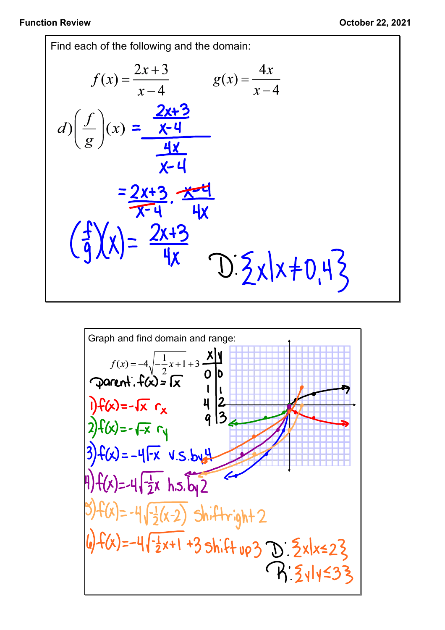Function Review **October 22, 2021**<br>
Find each of the following and the domain:<br>  $f(x) = \frac{2x+3}{x-4}$   $g(x) = \frac{4x}{x-4}$ <br>  $g(x) = \frac{4x}{x-4}$ <br>  $g(x) = \frac{4x}{x-4}$ Find each of the following and the domain:  $g(x) = \frac{4x}{x-4}$  $D\frac{5}{2}x|x+0.43$ 

Graph and find domain and range:  
\n
$$
f(x) = -4\sqrt{-\frac{1}{2}x+1}+3\frac{x}{0}
$$
  
\n $f(x) = -\sqrt{x}$   $\frac{1}{x}$   
\n $-\sqrt{x}$   
\n $-\sqrt{x}$   
\n $-\sqrt{x}$   
\n $-\sqrt{x}$   
\n $-\sqrt{x}$   
\n $-\sqrt{x}$   
\n $-\sqrt{x}$   
\n $-\sqrt{x}$   
\n $-\sqrt{x}$   
\n $-\sqrt{x}$   
\n $-\sqrt{x}$   
\n $-\sqrt{x}$   
\n $-\sqrt{x}$   
\n $-\sqrt{x}$   
\n $-\sqrt{x}$   
\n $-\sqrt{x}$   
\n $-\sqrt{x}$   
\n $-\sqrt{x}$   
\n $-\sqrt{x}$   
\n $-\sqrt{x}$   
\n $-\sqrt{x}$   
\n $-\sqrt{x}$   
\n $-\sqrt{x}$   
\n $-\sqrt{x}$   
\n $-\sqrt{x}$   
\n $-\sqrt{x}$   
\n $-\sqrt{x}$   
\n $-\sqrt{x}$   
\n $-\sqrt{x}$   
\n $-\sqrt{x}$   
\n $-\sqrt{x}$   
\n $-\sqrt{x}$   
\n $-\sqrt{x}$   
\n $-\sqrt{x}$   
\n $-\sqrt{x}$   
\n $-\sqrt{x}$   
\n $-\sqrt{x}$   
\n $-\sqrt{x}$   
\n $-\sqrt{x}$   
\n $-\sqrt{x}$   
\n $-\sqrt{x}$   
\n $-\sqrt{x}$   
\n $-\sqrt{x}$   
\n $-\sqrt{x}$   
\n $-\sqrt{x}$   
\n $-\sqrt{x}$   
\n $-\sqrt{x}$   
\n $-\sqrt{x}$   
\n $-\sqrt{x}$   
\n $-\sqrt{x}$   
\n $-\sqrt{x}$   
\n $-\sqrt{x}$   
\n $-\sqrt{x}$   
\n $-\sqrt{x}$   
\n $-\sqrt{x}$   
\n $-\sqrt{x}$   
\n $-\sqrt{x}$   
\n $-\sqrt{x}$ <